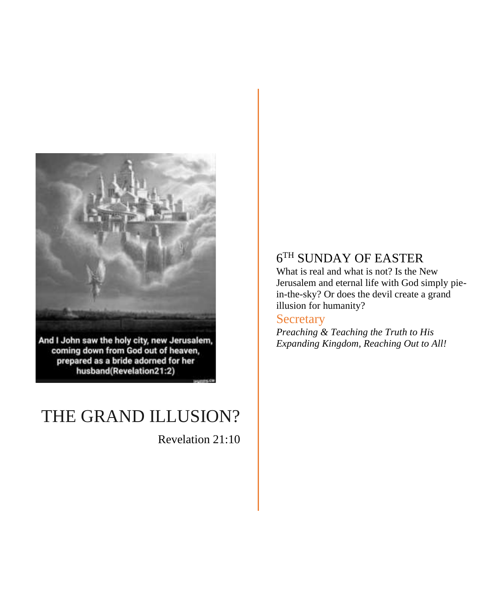

And I John saw the holy city, new Jerusalem,<br>coming down from God out of heaven, prepared as a bride adorned for her husband(Revelation21:2)

# THE GRAND ILLUSION?

Revelation 21:10

## 6 TH SUNDAY OF EASTER

What is real and what is not? Is the New Jerusalem and eternal life with God simply piein-the-sky? Or does the devil create a grand illusion for humanity?

## **Secretary**

*Preaching & Teaching the Truth to His Expanding Kingdom, Reaching Out to All!*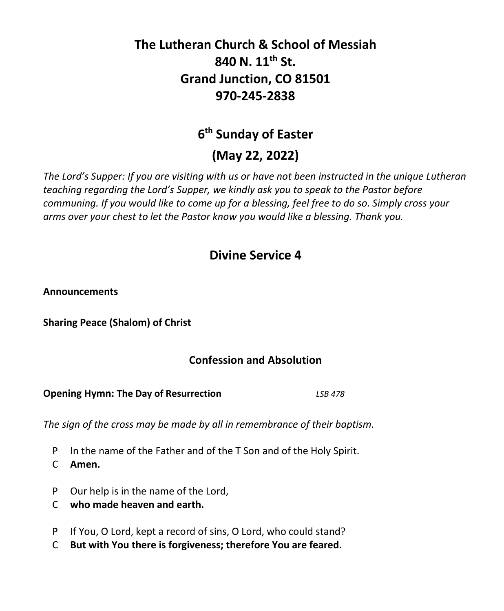## **The Lutheran Church & School of Messiah 840 N. 11th St. Grand Junction, CO 81501 970-245-2838**

## **6 th Sunday of Easter**

## **(May 22, 2022)**

*The Lord's Supper: If you are visiting with us or have not been instructed in the unique Lutheran teaching regarding the Lord's Supper, we kindly ask you to speak to the Pastor before communing. If you would like to come up for a blessing, feel free to do so. Simply cross your arms over your chest to let the Pastor know you would like a blessing. Thank you.*

## **Divine Service 4**

**Announcements**

**Sharing Peace (Shalom) of Christ**

## **Confession and Absolution**

**Opening Hymn: The Day of Resurrection** *LSB 478*

*The sign of the cross may be made by all in remembrance of their baptism.*

- P In the name of the Father and of the T Son and of the Holy Spirit.
- C **Amen.**
- P Our help is in the name of the Lord,
- C **who made heaven and earth.**
- P If You, O Lord, kept a record of sins, O Lord, who could stand?
- C **But with You there is forgiveness; therefore You are feared.**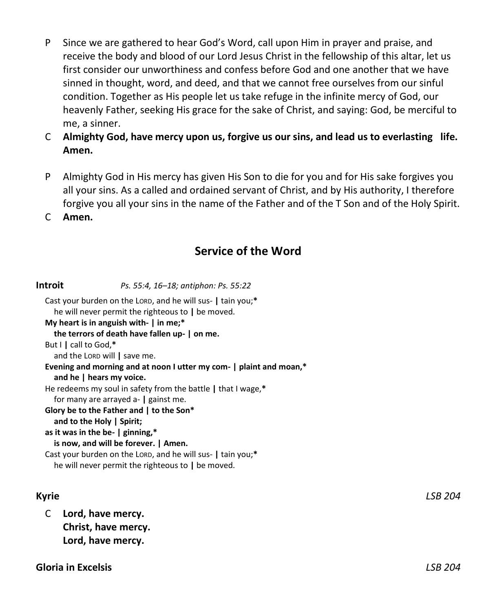- P Since we are gathered to hear God's Word, call upon Him in prayer and praise, and receive the body and blood of our Lord Jesus Christ in the fellowship of this altar, let us first consider our unworthiness and confess before God and one another that we have sinned in thought, word, and deed, and that we cannot free ourselves from our sinful condition. Together as His people let us take refuge in the infinite mercy of God, our heavenly Father, seeking His grace for the sake of Christ, and saying: God, be merciful to me, a sinner.
- C **Almighty God, have mercy upon us, forgive us our sins, and lead us to everlasting life. Amen.**
- P Almighty God in His mercy has given His Son to die for you and for His sake forgives you all your sins. As a called and ordained servant of Christ, and by His authority, I therefore forgive you all your sins in the name of the Father and of the T Son and of the Holy Spirit.
- C **Amen.**

## **Service of the Word**

**Introit** *Ps. 55:4, 16–18; antiphon: Ps. 55:22* Cast your burden on the LORD, and he will sus- **|** tain you;**\*** he will never permit the righteous to **|** be moved. **My heart is in anguish with- | in me;\* the terrors of death have fallen up- | on me.** But I **|** call to God,**\*** and the LORD will **|** save me. **Evening and morning and at noon I utter my com- | plaint and moan,\* and he | hears my voice.** He redeems my soul in safety from the battle **|** that I wage,**\*** for many are arrayed a- **|** gainst me. **Glory be to the Father and | to the Son\* and to the Holy | Spirit; as it was in the be- | ginning,\* is now, and will be forever. | Amen.** Cast your burden on the LORD, and he will sus- **|** tain you;**\*** he will never permit the righteous to **|** be moved.

C **Lord, have mercy. Christ, have mercy. Lord, have mercy.**

**Gloria in Excelsis** *LSB 204*

**Kyrie** *LSB 204*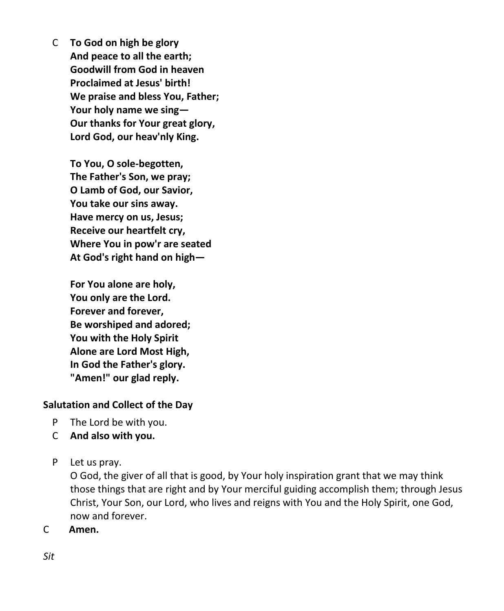C **To God on high be glory And peace to all the earth; Goodwill from God in heaven Proclaimed at Jesus' birth! We praise and bless You, Father; Your holy name we sing— Our thanks for Your great glory, Lord God, our heav'nly King.**

> **To You, O sole-begotten, The Father's Son, we pray; O Lamb of God, our Savior, You take our sins away. Have mercy on us, Jesus; Receive our heartfelt cry, Where You in pow'r are seated At God's right hand on high—**

**For You alone are holy, You only are the Lord. Forever and forever, Be worshiped and adored; You with the Holy Spirit Alone are Lord Most High, In God the Father's glory. "Amen!" our glad reply.**

## **Salutation and Collect of the Day**

- P The Lord be with you.
- C **And also with you.**
- P Let us pray.

O God, the giver of all that is good, by Your holy inspiration grant that we may think those things that are right and by Your merciful guiding accomplish them; through Jesus Christ, Your Son, our Lord, who lives and reigns with You and the Holy Spirit, one God, now and forever.

C **Amen.**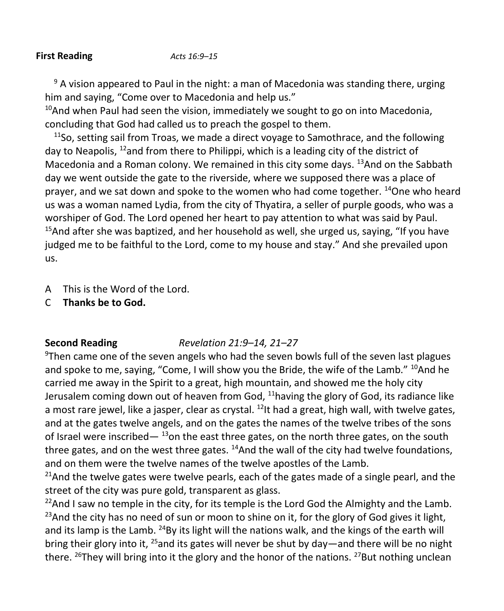#### **First Reading** *Acts 16:9–15*

 $9$  A vision appeared to Paul in the night: a man of Macedonia was standing there, urging him and saying, "Come over to Macedonia and help us."

<sup>10</sup>And when Paul had seen the vision, immediately we sought to go on into Macedonia, concluding that God had called us to preach the gospel to them.

 $11$ So, setting sail from Troas, we made a direct voyage to Samothrace, and the following day to Neapolis, <sup>12</sup>and from there to Philippi, which is a leading city of the district of Macedonia and a Roman colony. We remained in this city some days. <sup>13</sup>And on the Sabbath day we went outside the gate to the riverside, where we supposed there was a place of prayer, and we sat down and spoke to the women who had come together. <sup>14</sup>One who heard us was a woman named Lydia, from the city of Thyatira, a seller of purple goods, who was a worshiper of God. The Lord opened her heart to pay attention to what was said by Paul.  $15$ And after she was baptized, and her household as well, she urged us, saying, "If you have judged me to be faithful to the Lord, come to my house and stay." And she prevailed upon us.

- A This is the Word of the Lord.
- C **Thanks be to God.**

## **Second Reading** *Revelation 21:9–14, 21–27*

 $9$ Then came one of the seven angels who had the seven bowls full of the seven last plagues and spoke to me, saying, "Come, I will show you the Bride, the wife of the Lamb."  $^{10}$ And he carried me away in the Spirit to a great, high mountain, and showed me the holy city Jerusalem coming down out of heaven from God,  $11$ having the glory of God, its radiance like a most rare jewel, like a jasper, clear as crystal.  $^{12}$  thad a great, high wall, with twelve gates, and at the gates twelve angels, and on the gates the names of the twelve tribes of the sons of Israel were inscribed— $13$ on the east three gates, on the north three gates, on the south three gates, and on the west three gates.  $^{14}$ And the wall of the city had twelve foundations, and on them were the twelve names of the twelve apostles of the Lamb.

<sup>21</sup>And the twelve gates were twelve pearls, each of the gates made of a single pearl, and the street of the city was pure gold, transparent as glass.

 $^{22}$ And I saw no temple in the city, for its temple is the Lord God the Almighty and the Lamb.  $^{23}$ And the city has no need of sun or moon to shine on it, for the glory of God gives it light, and its lamp is the Lamb.  $^{24}$ By its light will the nations walk, and the kings of the earth will bring their glory into it, <sup>25</sup>and its gates will never be shut by day—and there will be no night there. <sup>26</sup>They will bring into it the glory and the honor of the nations. <sup>27</sup>But nothing unclean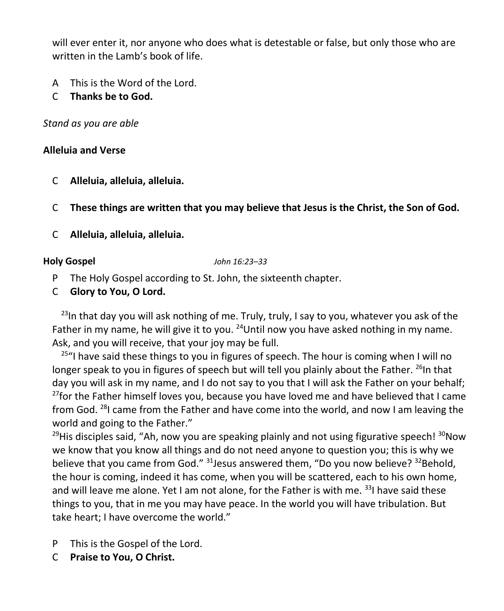will ever enter it, nor anyone who does what is detestable or false, but only those who are written in the Lamb's book of life.

- A This is the Word of the Lord.
- C **Thanks be to God.**

*Stand as you are able*

## **Alleluia and Verse**

- C **Alleluia, alleluia, alleluia.**
- C **These things are written that you may believe that Jesus is the Christ, the Son of God.**
- C **Alleluia, alleluia, alleluia.**

**Holy Gospel** *John 16:23–33*

- P The Holy Gospel according to St. John, the sixteenth chapter.
- C **Glory to You, O Lord.**

 $23$ In that day you will ask nothing of me. Truly, truly, I say to you, whatever you ask of the Father in my name, he will give it to you.  $24$ Until now you have asked nothing in my name. Ask, and you will receive, that your joy may be full.

 $25$ "I have said these things to you in figures of speech. The hour is coming when I will no longer speak to you in figures of speech but will tell you plainly about the Father. <sup>26</sup>In that day you will ask in my name, and I do not say to you that I will ask the Father on your behalf;  $27$  for the Father himself loves you, because you have loved me and have believed that I came from God.  $^{28}$ I came from the Father and have come into the world, and now I am leaving the world and going to the Father."

 $29$ His disciples said, "Ah, now you are speaking plainly and not using figurative speech!  $30$ Now we know that you know all things and do not need anyone to question you; this is why we believe that you came from God." <sup>31</sup>Jesus answered them, "Do you now believe? <sup>32</sup>Behold, the hour is coming, indeed it has come, when you will be scattered, each to his own home, and will leave me alone. Yet I am not alone, for the Father is with me.  $331$  have said these things to you, that in me you may have peace. In the world you will have tribulation. But take heart; I have overcome the world."

- P This is the Gospel of the Lord.
- C **Praise to You, O Christ.**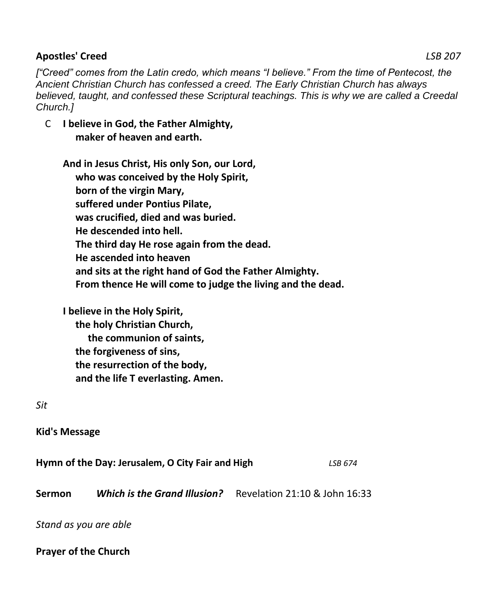## **Apostles' Creed** *LSB 207*

*["Creed" comes from the Latin credo, which means "I believe." From the time of Pentecost, the Ancient Christian Church has confessed a creed. The Early Christian Church has always*  believed, taught, and confessed these Scriptural teachings. This is why we are called a Creedal *Church.]*

C **I believe in God, the Father Almighty, maker of heaven and earth.**

**And in Jesus Christ, His only Son, our Lord, who was conceived by the Holy Spirit, born of the virgin Mary, suffered under Pontius Pilate, was crucified, died and was buried. He descended into hell. The third day He rose again from the dead. He ascended into heaven and sits at the right hand of God the Father Almighty. From thence He will come to judge the living and the dead.**

**I believe in the Holy Spirit, the holy Christian Church, the communion of saints, the forgiveness of sins, the resurrection of the body, and the life T everlasting. Amen.**

*Sit*

**Kid's Message**

**Hymn of the Day: Jerusalem, O City Fair and High** *LSB 674* **Sermon** *Which is the Grand Illusion?*Revelation 21:10 & John 16:33

*Stand as you are able*

**Prayer of the Church**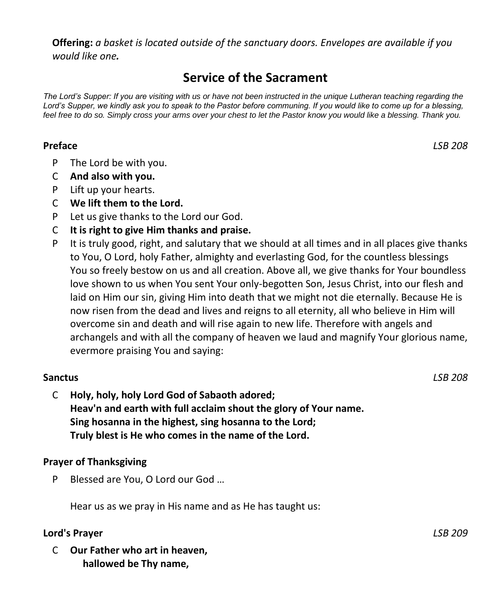**Offering:** *a basket is located outside of the sanctuary doors. Envelopes are available if you would like one.*

## **Service of the Sacrament**

*The Lord's Supper: If you are visiting with us or have not been instructed in the unique Lutheran teaching regarding the*  Lord's Supper, we kindly ask you to speak to the Pastor before communing. If you would like to come up for a blessing, *feel free to do so. Simply cross your arms over your chest to let the Pastor know you would like a blessing. Thank you.*

## **Preface** *LSB 208*

- P The Lord be with you.
- C **And also with you.**
- P Lift up your hearts.
- C **We lift them to the Lord.**
- P Let us give thanks to the Lord our God.
- C **It is right to give Him thanks and praise.**
- P It is truly good, right, and salutary that we should at all times and in all places give thanks to You, O Lord, holy Father, almighty and everlasting God, for the countless blessings You so freely bestow on us and all creation. Above all, we give thanks for Your boundless love shown to us when You sent Your only-begotten Son, Jesus Christ, into our flesh and laid on Him our sin, giving Him into death that we might not die eternally. Because He is now risen from the dead and lives and reigns to all eternity, all who believe in Him will overcome sin and death and will rise again to new life. Therefore with angels and archangels and with all the company of heaven we laud and magnify Your glorious name, evermore praising You and saying:

## **Sanctus** *LSB 208*

C **Holy, holy, holy Lord God of Sabaoth adored; Heav'n and earth with full acclaim shout the glory of Your name. Sing hosanna in the highest, sing hosanna to the Lord; Truly blest is He who comes in the name of the Lord.**

## **Prayer of Thanksgiving**

P Blessed are You, O Lord our God …

Hear us as we pray in His name and as He has taught us:

#### **Lord's Prayer** *LSB 209*

C **Our Father who art in heaven, hallowed be Thy name,**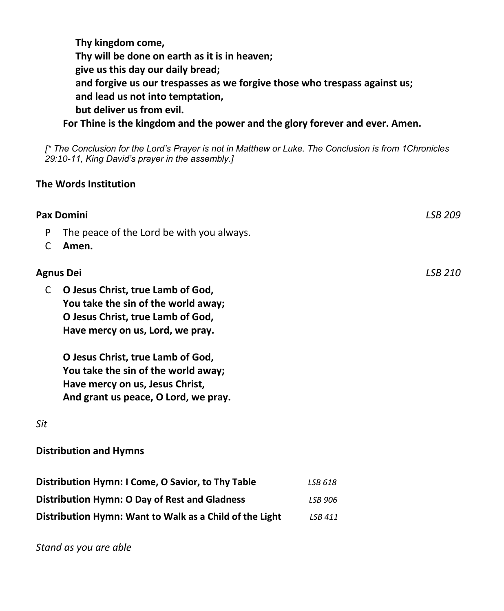**Thy kingdom come, Thy will be done on earth as it is in heaven; give us this day our daily bread; and forgive us our trespasses as we forgive those who trespass against us; and lead us not into temptation, but deliver us from evil. For Thine is the kingdom and the power and the glory forever and ever. Amen.**

*[\* The Conclusion for the Lord's Prayer is not in Matthew or Luke. The Conclusion is from 1Chronicles 29:10-11, King David's prayer in the assembly.]*

## **The Words Institution**

|                  | <b>Pax Domini</b>                                                                                                                                   |                | LSB 209 |
|------------------|-----------------------------------------------------------------------------------------------------------------------------------------------------|----------------|---------|
| P<br>C           | The peace of the Lord be with you always.<br>Amen.                                                                                                  |                |         |
| <b>Agnus Dei</b> |                                                                                                                                                     |                | LSB 210 |
| C                | O Jesus Christ, true Lamb of God,<br>You take the sin of the world away;<br>O Jesus Christ, true Lamb of God,<br>Have mercy on us, Lord, we pray.   |                |         |
|                  | O Jesus Christ, true Lamb of God,<br>You take the sin of the world away;<br>Have mercy on us, Jesus Christ,<br>And grant us peace, O Lord, we pray. |                |         |
| Sit              |                                                                                                                                                     |                |         |
|                  | <b>Distribution and Hymns</b>                                                                                                                       |                |         |
|                  | Distribution Hymn: I Come, O Savior, to Thy Table                                                                                                   | LSB 618        |         |
|                  | <b>Distribution Hymn: O Day of Rest and Gladness</b>                                                                                                | <b>LSB 906</b> |         |
|                  | Distribution Hymn: Want to Walk as a Child of the Light                                                                                             | LSB 411        |         |

*Stand as you are able*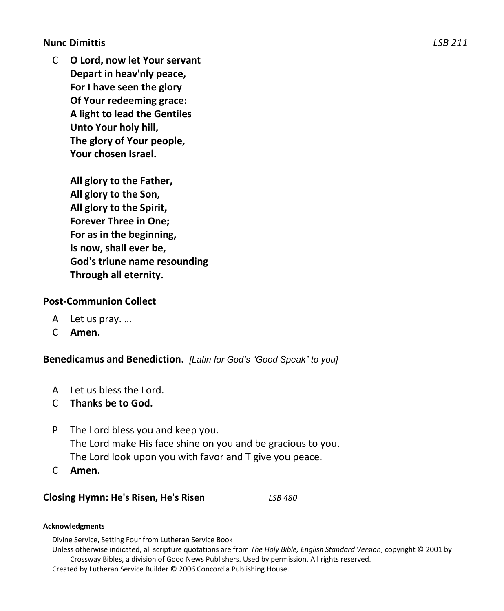**Nunc Dimittis** *LSB 211*

C **O Lord, now let Your servant Depart in heav'nly peace, For I have seen the glory Of Your redeeming grace: A light to lead the Gentiles Unto Your holy hill, The glory of Your people, Your chosen Israel.**

> **All glory to the Father, All glory to the Son, All glory to the Spirit, Forever Three in One; For as in the beginning, Is now, shall ever be, God's triune name resounding Through all eternity.**

#### **Post-Communion Collect**

- A Let us pray. …
- C **Amen.**

**Benedicamus and Benediction.** *[Latin for God's "Good Speak" to you]*

- A Let us bless the Lord.
- C **Thanks be to God.**
- P The Lord bless you and keep you. The Lord make His face shine on you and be gracious to you. The Lord look upon you with favor and T give you peace.
- C **Amen.**

#### **Closing Hymn: He's Risen, He's Risen** *LSB 480*

#### **Acknowledgments**

Divine Service, Setting Four from Lutheran Service Book

Unless otherwise indicated, all scripture quotations are from *The Holy Bible, English Standard Version*, copyright © 2001 by Crossway Bibles, a division of Good News Publishers. Used by permission. All rights reserved.

Created by Lutheran Service Builder © 2006 Concordia Publishing House.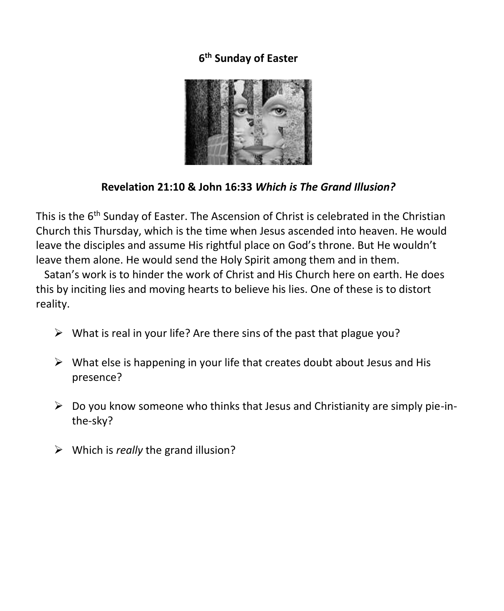## **6 th Sunday of Easter**



## **Revelation 21:10 & John 16:33** *Which is The Grand Illusion?*

This is the 6<sup>th</sup> Sunday of Easter. The Ascension of Christ is celebrated in the Christian Church this Thursday, which is the time when Jesus ascended into heaven. He would leave the disciples and assume His rightful place on God's throne. But He wouldn't leave them alone. He would send the Holy Spirit among them and in them.

 Satan's work is to hinder the work of Christ and His Church here on earth. He does this by inciting lies and moving hearts to believe his lies. One of these is to distort reality.

- $\triangleright$  What is real in your life? Are there sins of the past that plague you?
- $\triangleright$  What else is happening in your life that creates doubt about Jesus and His presence?
- $\triangleright$  Do you know someone who thinks that Jesus and Christianity are simply pie-inthe-sky?
- ➢ Which is *really* the grand illusion?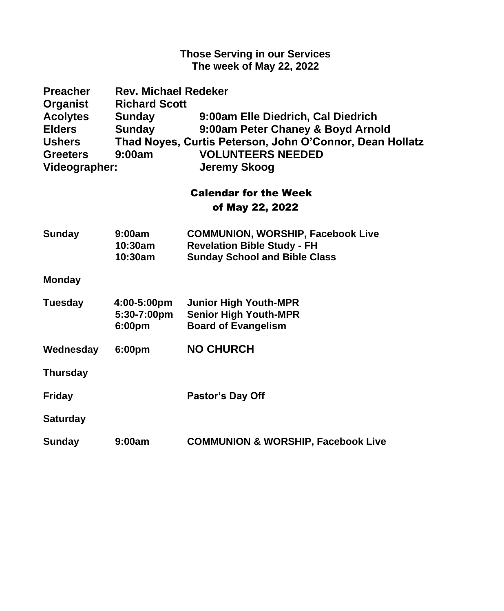#### **Those Serving in our Services The week of May 22, 2022**

| <b>Preacher</b>                  | <b>Rev. Michael Redeker</b> |                                                                                      |  |  |
|----------------------------------|-----------------------------|--------------------------------------------------------------------------------------|--|--|
| Organist                         | <b>Richard Scott</b>        |                                                                                      |  |  |
| <b>Acolytes</b><br><b>Elders</b> | <b>Sunday</b>               | 9:00am Elle Diedrich, Cal Diedrich                                                   |  |  |
| <b>Ushers</b>                    | Sunday                      | 9:00am Peter Chaney & Boyd Arnold                                                    |  |  |
| <b>Greeters</b>                  | 9:00am                      | Thad Noyes, Curtis Peterson, John O'Connor, Dean Hollatz<br><b>VOLUNTEERS NEEDED</b> |  |  |
| Videographer:                    |                             | <b>Jeremy Skoog</b>                                                                  |  |  |
|                                  |                             |                                                                                      |  |  |
|                                  |                             | <b>Calendar for the Week</b>                                                         |  |  |
| of May 22, 2022                  |                             |                                                                                      |  |  |
| Sunday                           | 9:00am                      | <b>COMMUNION, WORSHIP, Facebook Live</b>                                             |  |  |
|                                  | 10:30am                     | <b>Revelation Bible Study - FH</b>                                                   |  |  |
|                                  | 10:30am                     | <b>Sunday School and Bible Class</b>                                                 |  |  |
| <b>Monday</b>                    |                             |                                                                                      |  |  |
| <b>Tuesday</b>                   | 4:00-5:00pm                 | <b>Junior High Youth-MPR</b>                                                         |  |  |
|                                  | 5:30-7:00pm                 | <b>Senior High Youth-MPR</b>                                                         |  |  |
|                                  | 6:00pm                      | <b>Board of Evangelism</b>                                                           |  |  |
| Wednesday                        | 6:00pm                      | <b>NO CHURCH</b>                                                                     |  |  |
| <b>Thursday</b>                  |                             |                                                                                      |  |  |
| <b>Friday</b>                    |                             | Pastor's Day Off                                                                     |  |  |
| <b>Saturday</b>                  |                             |                                                                                      |  |  |
| Sunday                           | 9:00am                      | <b>COMMUNION &amp; WORSHIP, Facebook Live</b>                                        |  |  |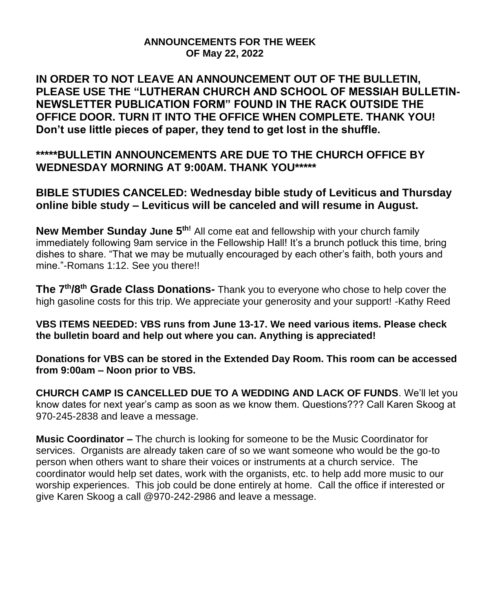## **ANNOUNCEMENTS FOR THE WEEK OF May 22, 2022**

**IN ORDER TO NOT LEAVE AN ANNOUNCEMENT OUT OF THE BULLETIN, PLEASE USE THE "LUTHERAN CHURCH AND SCHOOL OF MESSIAH BULLETIN-NEWSLETTER PUBLICATION FORM" FOUND IN THE RACK OUTSIDE THE OFFICE DOOR. TURN IT INTO THE OFFICE WHEN COMPLETE. THANK YOU! Don't use little pieces of paper, they tend to get lost in the shuffle.**

**\*\*\*\*\*BULLETIN ANNOUNCEMENTS ARE DUE TO THE CHURCH OFFICE BY WEDNESDAY MORNING AT 9:00AM. THANK YOU\*\*\*\*\***

**BIBLE STUDIES CANCELED: Wednesday bible study of Leviticus and Thursday online bible study – Leviticus will be canceled and will resume in August.**

New Member Sunday June 5<sup>th!</sup> All come eat and fellowship with your church family immediately following 9am service in the Fellowship Hall! It's a brunch potluck this time, bring dishes to share. "That we may be mutually encouraged by each other's faith, both yours and mine."-Romans 1:12. See you there!!

**The 7th/8th Grade Class Donations-** Thank you to everyone who chose to help cover the high gasoline costs for this trip. We appreciate your generosity and your support! -Kathy Reed

**VBS ITEMS NEEDED: VBS runs from June 13-17. We need various items. Please check the bulletin board and help out where you can. Anything is appreciated!**

**Donations for VBS can be stored in the Extended Day Room. This room can be accessed from 9:00am – Noon prior to VBS.**

**CHURCH CAMP IS CANCELLED DUE TO A WEDDING AND LACK OF FUNDS**. We'll let you know dates for next year's camp as soon as we know them. Questions??? Call Karen Skoog at 970-245-2838 and leave a message.

**Music Coordinator –** The church is looking for someone to be the Music Coordinator for services. Organists are already taken care of so we want someone who would be the go-to person when others want to share their voices or instruments at a church service. The coordinator would help set dates, work with the organists, etc. to help add more music to our worship experiences. This job could be done entirely at home. Call the office if interested or give Karen Skoog a call @970-242-2986 and leave a message.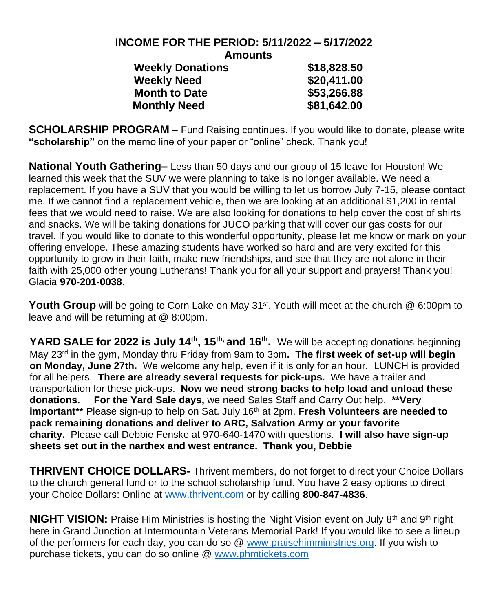#### **INCOME FOR THE PERIOD: 5/11/2022 – 5/17/2022 Amounts Weekly Donations \$18,828.50**

| \$18,828.50 |
|-------------|
| \$20,411.00 |
| \$53,266.88 |
| \$81,642.00 |
|             |

**SCHOLARSHIP PROGRAM –** Fund Raising continues. If you would like to donate, please write **"scholarship"** on the memo line of your paper or "online" check. Thank you!

**National Youth Gathering–** Less than 50 days and our group of 15 leave for Houston! We learned this week that the SUV we were planning to take is no longer available. We need a replacement. If you have a SUV that you would be willing to let us borrow July 7-15, please contact me. If we cannot find a replacement vehicle, then we are looking at an additional \$1,200 in rental fees that we would need to raise. We are also looking for donations to help cover the cost of shirts and snacks. We will be taking donations for JUCO parking that will cover our gas costs for our travel. If you would like to donate to this wonderful opportunity, please let me know or mark on your offering envelope. These amazing students have worked so hard and are very excited for this opportunity to grow in their faith, make new friendships, and see that they are not alone in their faith with 25,000 other young Lutherans! Thank you for all your support and prayers! Thank you! Glacia **970-201-0038**.

**Youth Group** will be going to Corn Lake on May 31<sup>st</sup>. Youth will meet at the church @ 6:00pm to leave and will be returning at @ 8:00pm.

YARD SALE for 2022 is July 14<sup>th</sup>, 15<sup>th,</sup> and 16<sup>th</sup>. We will be accepting donations beginning May 23rd in the gym, Monday thru Friday from 9am to 3pm**. The first week of set-up will begin on Monday, June 27th.** We welcome any help, even if it is only for an hour. LUNCH is provided for all helpers. **There are already several requests for pick-ups.** We have a trailer and transportation for these pick-ups. **Now we need strong backs to help load and unload these donations. For the Yard Sale days,** we need Sales Staff and Carry Out help. **\*\*Very important\*\*** Please sign-up to help on Sat. July 16th at 2pm, **Fresh Volunteers are needed to pack remaining donations and deliver to ARC, Salvation Army or your favorite charity.** Please call Debbie Fenske at 970-640-1470 with questions. **I will also have sign-up sheets set out in the narthex and west entrance. Thank you, Debbie**

**THRIVENT CHOICE DOLLARS-** Thrivent members, do not forget to direct your Choice Dollars to the church general fund or to the school scholarship fund. You have 2 easy options to direct your Choice Dollars: Online at [www.thrivent.com](http://www.thrivent.com/) or by calling **800-847-4836**.

**NIGHT VISION:** Praise Him Ministries is hosting the Night Vision event on July 8<sup>th</sup> and 9<sup>th</sup> right here in Grand Junction at Intermountain Veterans Memorial Park! If you would like to see a lineup of the performers for each day, you can do so @ [www.praisehimministries.org.](http://www.praisehimministries.org/) If you wish to purchase tickets, you can do so online @ [www.phmtickets.com](http://www.phmtickets.com/)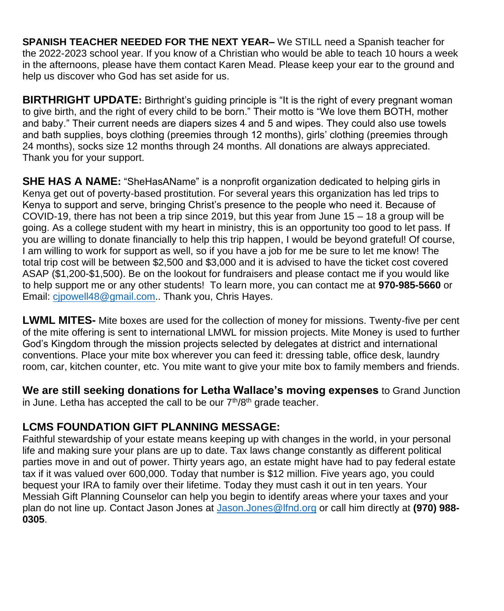**SPANISH TEACHER NEEDED FOR THE NEXT YEAR–** We STILL need a Spanish teacher for the 2022-2023 school year. If you know of a Christian who would be able to teach 10 hours a week in the afternoons, please have them contact Karen Mead. Please keep your ear to the ground and help us discover who God has set aside for us.

**BIRTHRIGHT UPDATE:** Birthright's guiding principle is "It is the right of every pregnant woman to give birth, and the right of every child to be born." Their motto is "We love them BOTH, mother and baby." Their current needs are diapers sizes 4 and 5 and wipes. They could also use towels and bath supplies, boys clothing (preemies through 12 months), girls' clothing (preemies through 24 months), socks size 12 months through 24 months. All donations are always appreciated. Thank you for your support.

**SHE HAS A NAME:** "SheHasAName" is a nonprofit organization dedicated to helping girls in Kenya get out of poverty-based prostitution. For several years this organization has led trips to Kenya to support and serve, bringing Christ's presence to the people who need it. Because of COVID-19, there has not been a trip since 2019, but this year from June 15 – 18 a group will be going. As a college student with my heart in ministry, this is an opportunity too good to let pass. If you are willing to donate financially to help this trip happen, I would be beyond grateful! Of course, I am willing to work for support as well, so if you have a job for me be sure to let me know! The total trip cost will be between \$2,500 and \$3,000 and it is advised to have the ticket cost covered ASAP (\$1,200-\$1,500). Be on the lookout for fundraisers and please contact me if you would like to help support me or any other students! To learn more, you can contact me at **970-985-5660** or Email: [cjpowell48@gmail.com.](mailto:cjpowell48@gmail.com). Thank you, Chris Hayes.

**LWML MITES-** Mite boxes are used for the collection of money for missions. Twenty-five per cent of the mite offering is sent to international LMWL for mission projects. Mite Money is used to further God's Kingdom through the mission projects selected by delegates at district and international conventions. Place your mite box wherever you can feed it: dressing table, office desk, laundry room, car, kitchen counter, etc. You mite want to give your mite box to family members and friends.

**We are still seeking donations for Letha Wallace's moving expenses** to Grand Junction in June. Letha has accepted the call to be our  $7<sup>th</sup>/8<sup>th</sup>$  grade teacher.

## **LCMS FOUNDATION GIFT PLANNING MESSAGE:**

Faithful stewardship of your estate means keeping up with changes in the world, in your personal life and making sure your plans are up to date. Tax laws change constantly as different political parties move in and out of power. Thirty years ago, an estate might have had to pay federal estate tax if it was valued over 600,000. Today that number is \$12 million. Five years ago, you could bequest your IRA to family over their lifetime. Today they must cash it out in ten years. Your Messiah Gift Planning Counselor can help you begin to identify areas where your taxes and your plan do not line up. Contact Jason Jones at [Jason.Jones@lfnd.org](mailto:Jason.Jones@lfnd.org) or call him directly at **(970) 988- 0305**.